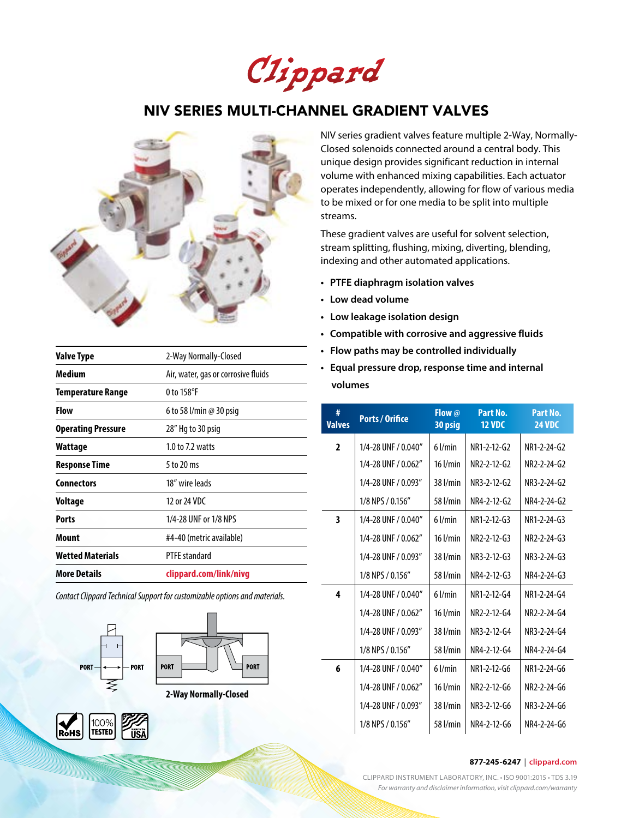Clippard

# NIV SERIES MULTI-CHANNEL GRADIENT VALVES



| <b>Valve Type</b>         | 2-Way Normally-Closed               |
|---------------------------|-------------------------------------|
| <b>Medium</b>             | Air, water, gas or corrosive fluids |
| Temperature Range         | 0 to 158°F                          |
| <b>Flow</b>               | 6 to 58 l/min @ 30 psig             |
| <b>Operating Pressure</b> | 28" Hg to 30 psig                   |
| Wattage                   | $1.0$ to $7.2$ watts                |
| Response Time             | 5 to 20 ms                          |
| <b>Connectors</b>         | 18" wire leads                      |
| Voltage                   | 12 or 24 VDC                        |
| <b>Ports</b>              | 1/4-28 UNF or 1/8 NPS               |
| <b>Mount</b>              | #4-40 (metric available)            |
| <b>Wetted Materials</b>   | <b>PTFE</b> standard                |
| <b>More Details</b>       | clippard.com/link/nivg              |

*Contact Clippard Technical Support for customizable options and materials.*





**2-Way Normally-Closed**



NIV series gradient valves feature multiple 2-Way, Normally-Closed solenoids connected around a central body. This unique design provides significant reduction in internal volume with enhanced mixing capabilities. Each actuator operates independently, allowing for flow of various media to be mixed or for one media to be split into multiple streams.

These gradient valves are useful for solvent selection, stream splitting, flushing, mixing, diverting, blending, indexing and other automated applications.

- **• PTFE diaphragm isolation valves**
- **• Low dead volume**
- **Low leakage isolation design**
- **• Compatible with corrosive and aggressive fluids**
- **Flow paths may be controlled individually**
- **Equal pressure drop, response time and internal volumes**

| #<br><b>Valves</b> | <b>Ports / Orifice</b> | Flow @<br>30 psig | Part No.<br><b>12 VDC</b> | Part No.<br><b>24 VDC</b> |
|--------------------|------------------------|-------------------|---------------------------|---------------------------|
| $\overline{2}$     | 1/4-28 UNF / 0.040"    | $6$ l/min         | NR1-2-12-G2               | NR1-2-24-G2               |
|                    | 1/4-28 UNF / 0.062"    | $16$ $l/min$      | NR2-2-12-G2               | NR2-2-24-G2               |
|                    | 1/4-28 UNF / 0.093"    | 38 l/min          | NR3-2-12-G2               | NR3-2-24-G2               |
|                    | 1/8 NPS / 0.156"       | 58 l/min          | NR4-2-12-G2               | NR4-2-24-G2               |
| 3                  | 1/4-28 UNF / 0.040"    | $6$ l/min         | NR1-2-12-G3               | NR1-2-24-G3               |
|                    | 1/4-28 UNF / 0.062"    | $16$ $l/min$      | NR2-2-12-G3               | NR2-2-24-G3               |
|                    | 1/4-28 UNF / 0.093"    | 38 l/min          | NR3-2-12-G3               | NR3-2-24-G3               |
|                    | 1/8 NPS / 0.156"       | 58 l/min          | NR4-2-12-G3               | NR4-2-24-G3               |
| 4                  | 1/4-28 UNF / 0.040"    | $6$ l/min         | NR1-2-12-G4               | NR1-2-24-G4               |
|                    | 1/4-28 UNF / 0.062"    | $16$ $l/min$      | NR2-2-12-G4               | NR2-2-24-G4               |
|                    | 1/4-28 UNF / 0.093"    | 38 l/min          | NR3-2-12-G4               | NR3-2-24-G4               |
|                    | 1/8 NPS / 0.156"       | 58 l/min          | NR4-2-12-G4               | NR4-2-24-G4               |
| 6                  | 1/4-28 UNF / 0.040"    | $6$ l/min         | NR1-2-12-G6               | NR1-2-24-G6               |
|                    | 1/4-28 UNF / 0.062"    | $16$ $l/min$      | NR2-2-12-G6               | NR2-2-24-G6               |
|                    | 1/4-28 UNF / 0.093"    | $38$ $l/min$      | NR3-2-12-G6               | NR3-2-24-G6               |
|                    | 1/8 NPS / 0.156"       | 58 l/min          | NR4-2-12-G6               | NR4-2-24-G6               |

### **877-245-6247** | **clippard.com**

CLIPPARD INSTRUMENT LABORATORY, INC. • ISO 9001:2015 • TDS 3.19 *For warranty and disclaimer information, visit clippard.com/warranty*